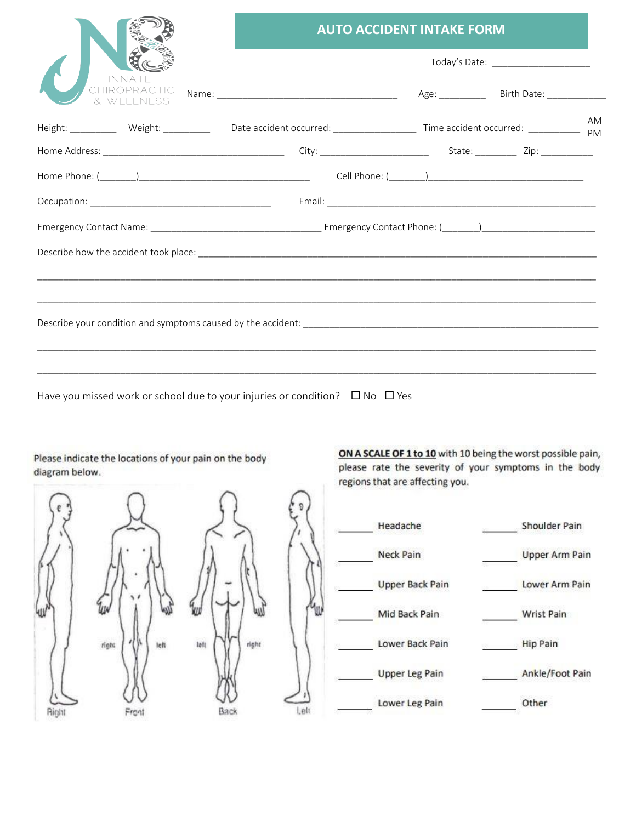|                            | <b>AUTO ACCIDENT INTAKE FORM</b>      |  |  |    |  |
|----------------------------|---------------------------------------|--|--|----|--|
|                            | Today's Date: _______________________ |  |  |    |  |
| CHIROPRACTIC<br>& WFLINESS |                                       |  |  |    |  |
|                            |                                       |  |  | AM |  |
|                            |                                       |  |  |    |  |
|                            |                                       |  |  |    |  |
|                            |                                       |  |  |    |  |
|                            |                                       |  |  |    |  |
|                            |                                       |  |  |    |  |
|                            |                                       |  |  |    |  |
|                            |                                       |  |  |    |  |
|                            |                                       |  |  |    |  |
|                            |                                       |  |  |    |  |
|                            |                                       |  |  |    |  |

Have you missed work or school due to your injuries or condition?  $\Box$  No  $\Box$  Yes

Please indicate the locations of your pain on the body diagram below.

Ш  $right$  $16\%$ left Front Right



ON A SCALE OF 1 to 10 with 10 being the worst possible pain, please rate the severity of your symptoms in the body regions that are affecting you.

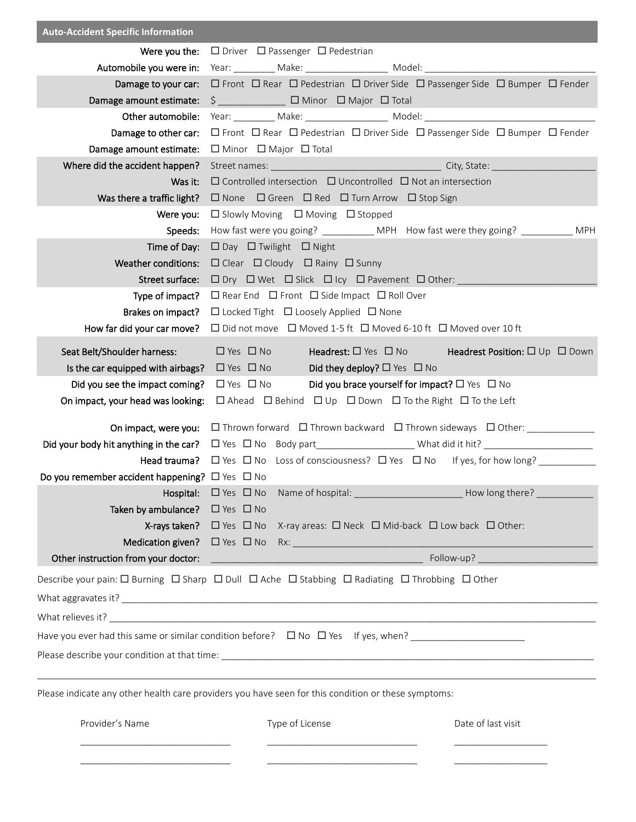| <b>Auto-Accident Specific Information</b>                                                                                                                                                                                  |                                                                                                                                                                                                                                                                                                                                                                                                                                                                                                                                                                                                                                                                                                                                                                                                                                                      |  |  |  |  |
|----------------------------------------------------------------------------------------------------------------------------------------------------------------------------------------------------------------------------|------------------------------------------------------------------------------------------------------------------------------------------------------------------------------------------------------------------------------------------------------------------------------------------------------------------------------------------------------------------------------------------------------------------------------------------------------------------------------------------------------------------------------------------------------------------------------------------------------------------------------------------------------------------------------------------------------------------------------------------------------------------------------------------------------------------------------------------------------|--|--|--|--|
| Were you the:                                                                                                                                                                                                              | $\Box$ Driver $\Box$ Passenger $\Box$ Pedestrian                                                                                                                                                                                                                                                                                                                                                                                                                                                                                                                                                                                                                                                                                                                                                                                                     |  |  |  |  |
| Automobile you were in:                                                                                                                                                                                                    |                                                                                                                                                                                                                                                                                                                                                                                                                                                                                                                                                                                                                                                                                                                                                                                                                                                      |  |  |  |  |
| Damage to your car:                                                                                                                                                                                                        | □ Front □ Rear □ Pedestrian □ Driver Side □ Passenger Side □ Bumper □ Fender                                                                                                                                                                                                                                                                                                                                                                                                                                                                                                                                                                                                                                                                                                                                                                         |  |  |  |  |
| Damage amount estimate:                                                                                                                                                                                                    | \$ □ Minor □ Major □ Total                                                                                                                                                                                                                                                                                                                                                                                                                                                                                                                                                                                                                                                                                                                                                                                                                           |  |  |  |  |
| Other automobile:                                                                                                                                                                                                          |                                                                                                                                                                                                                                                                                                                                                                                                                                                                                                                                                                                                                                                                                                                                                                                                                                                      |  |  |  |  |
| Damage to other car:                                                                                                                                                                                                       | $\Box$ Front $\Box$ Rear $\Box$ Pedestrian $\Box$ Driver Side $\Box$ Passenger Side $\Box$ Bumper $\Box$ Fender                                                                                                                                                                                                                                                                                                                                                                                                                                                                                                                                                                                                                                                                                                                                      |  |  |  |  |
| Damage amount estimate:                                                                                                                                                                                                    | $\Box$ Minor $\Box$ Major $\Box$ Total                                                                                                                                                                                                                                                                                                                                                                                                                                                                                                                                                                                                                                                                                                                                                                                                               |  |  |  |  |
| Where did the accident happen?                                                                                                                                                                                             |                                                                                                                                                                                                                                                                                                                                                                                                                                                                                                                                                                                                                                                                                                                                                                                                                                                      |  |  |  |  |
| Was it:                                                                                                                                                                                                                    | $\Box$ Controlled intersection $\Box$ Uncontrolled $\Box$ Not an intersection                                                                                                                                                                                                                                                                                                                                                                                                                                                                                                                                                                                                                                                                                                                                                                        |  |  |  |  |
| Was there a traffic light?                                                                                                                                                                                                 | $\Box$ None $\Box$ Green $\Box$ Red $\Box$ Turn Arrow $\Box$ Stop Sign                                                                                                                                                                                                                                                                                                                                                                                                                                                                                                                                                                                                                                                                                                                                                                               |  |  |  |  |
| Were you:                                                                                                                                                                                                                  | $\Box$ Slowly Moving $\Box$ Moving $\Box$ Stopped                                                                                                                                                                                                                                                                                                                                                                                                                                                                                                                                                                                                                                                                                                                                                                                                    |  |  |  |  |
| Speeds:                                                                                                                                                                                                                    | How fast were you going? ____________ MPH How fast were they going? ___________ MPH                                                                                                                                                                                                                                                                                                                                                                                                                                                                                                                                                                                                                                                                                                                                                                  |  |  |  |  |
| Time of Day:                                                                                                                                                                                                               | $\Box$ Day $\Box$ Twilight $\Box$ Night                                                                                                                                                                                                                                                                                                                                                                                                                                                                                                                                                                                                                                                                                                                                                                                                              |  |  |  |  |
| <b>Weather conditions:</b>                                                                                                                                                                                                 | $\Box$ Clear $\Box$ Cloudy $\Box$ Rainy $\Box$ Sunny                                                                                                                                                                                                                                                                                                                                                                                                                                                                                                                                                                                                                                                                                                                                                                                                 |  |  |  |  |
| Street surface:<br>Type of impact?                                                                                                                                                                                         |                                                                                                                                                                                                                                                                                                                                                                                                                                                                                                                                                                                                                                                                                                                                                                                                                                                      |  |  |  |  |
| Brakes on impact?                                                                                                                                                                                                          | $\Box$ Rear End $\Box$ Front $\Box$ Side Impact $\Box$ Roll Over                                                                                                                                                                                                                                                                                                                                                                                                                                                                                                                                                                                                                                                                                                                                                                                     |  |  |  |  |
| How far did your car move?                                                                                                                                                                                                 | $\Box$ Locked Tight $\Box$ Loosely Applied $\Box$ None<br>$\Box$ Did not move $\Box$ Moved 1-5 ft $\Box$ Moved 6-10 ft $\Box$ Moved over 10 ft                                                                                                                                                                                                                                                                                                                                                                                                                                                                                                                                                                                                                                                                                                       |  |  |  |  |
| Seat Belt/Shoulder harness:<br>Is the car equipped with airbags?<br>Did you see the impact coming?<br>On impact, your head was looking:<br>Do you remember accident happening? $\Box$ Yes $\Box$ No<br>Taken by ambulance? | $\Box$ Yes $\Box$ No<br><b>Headrest:</b> $\Box$ Yes $\Box$ No<br><b>Headrest Position:</b> $\square$ Up $\square$ Down<br>$\Box$ Yes $\Box$ No<br>Did they deploy? $\Box$ Yes $\Box$ No<br>Did you brace yourself for impact? $\square$ Yes $\square$ No<br>$\Box$ Yes $\Box$ No<br>$\Box$ Ahead $\Box$ Behind $\Box$ Up $\Box$ Down $\Box$ To the Right $\Box$ To the Left<br>On impact, were you: □ Thrown forward □ Thrown backward □ Thrown sideways □ Other: ___________<br><b>Head trauma?</b> $\Box$ Yes $\Box$ No Loss of consciousness? $\Box$ Yes $\Box$ No If yes, for how long?<br><b>Hospital:</b> □ Yes □ No Name of hospital: __________________________How long there? _________________<br>$\Box$ Yes $\Box$ No<br><b>X-rays taken?</b> $\Box$ Yes $\Box$ No X-ray areas: $\Box$ Neck $\Box$ Mid-back $\Box$ Low back $\Box$ Other: |  |  |  |  |
|                                                                                                                                                                                                                            | Describe your pain: $\Box$ Burning $\Box$ Sharp $\Box$ Dull $\Box$ Ache $\Box$ Stabbing $\Box$ Radiating $\Box$ Throbbing $\Box$ Other                                                                                                                                                                                                                                                                                                                                                                                                                                                                                                                                                                                                                                                                                                               |  |  |  |  |
|                                                                                                                                                                                                                            |                                                                                                                                                                                                                                                                                                                                                                                                                                                                                                                                                                                                                                                                                                                                                                                                                                                      |  |  |  |  |
|                                                                                                                                                                                                                            |                                                                                                                                                                                                                                                                                                                                                                                                                                                                                                                                                                                                                                                                                                                                                                                                                                                      |  |  |  |  |
|                                                                                                                                                                                                                            |                                                                                                                                                                                                                                                                                                                                                                                                                                                                                                                                                                                                                                                                                                                                                                                                                                                      |  |  |  |  |
|                                                                                                                                                                                                                            |                                                                                                                                                                                                                                                                                                                                                                                                                                                                                                                                                                                                                                                                                                                                                                                                                                                      |  |  |  |  |
|                                                                                                                                                                                                                            | ,我们就会在这里的,我们就会在这里的,我们就会在这里的,我们就会在这里的,我们就会在这里的,我们就会在这里的。""我们,我们就会不会不会。""我们,我们就会不会                                                                                                                                                                                                                                                                                                                                                                                                                                                                                                                                                                                                                                                                                                                                                                     |  |  |  |  |
| Please indicate any other health care providers you have seen for this condition or these symptoms:                                                                                                                        |                                                                                                                                                                                                                                                                                                                                                                                                                                                                                                                                                                                                                                                                                                                                                                                                                                                      |  |  |  |  |
| Provider's Name                                                                                                                                                                                                            | Type of License<br>Date of last visit                                                                                                                                                                                                                                                                                                                                                                                                                                                                                                                                                                                                                                                                                                                                                                                                                |  |  |  |  |
|                                                                                                                                                                                                                            |                                                                                                                                                                                                                                                                                                                                                                                                                                                                                                                                                                                                                                                                                                                                                                                                                                                      |  |  |  |  |